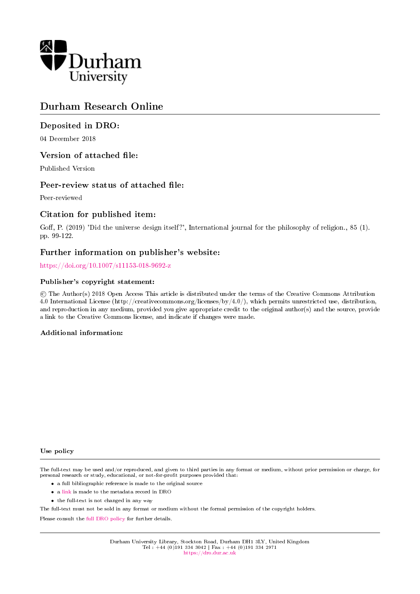

# Durham Research Online

## Deposited in DRO:

04 December 2018

## Version of attached file:

Published Version

## Peer-review status of attached file:

Peer-reviewed

## Citation for published item:

Goff, P. (2019) 'Did the universe design itself?', International journal for the philosophy of religion., 85 (1). pp. 99-122.

## Further information on publisher's website:

<https://doi.org/10.1007/s11153-018-9692-z>

## Publisher's copyright statement:

 c The Author(s) 2018 Open Access This article is distributed under the terms of the Creative Commons Attribution 4.0 International License (http://creativecommons.org/licenses/by/4.0/), which permits unrestricted use, distribution, and reproduction in any medium, provided you give appropriate credit to the original author(s) and the source, provide a link to the Creative Commons license, and indicate if changes were made.

## Additional information:

#### Use policy

The full-text may be used and/or reproduced, and given to third parties in any format or medium, without prior permission or charge, for personal research or study, educational, or not-for-profit purposes provided that:

- a full bibliographic reference is made to the original source
- a [link](http://dro.dur.ac.uk/26904/) is made to the metadata record in DRO
- the full-text is not changed in any way

The full-text must not be sold in any format or medium without the formal permission of the copyright holders.

Please consult the [full DRO policy](https://dro.dur.ac.uk/policies/usepolicy.pdf) for further details.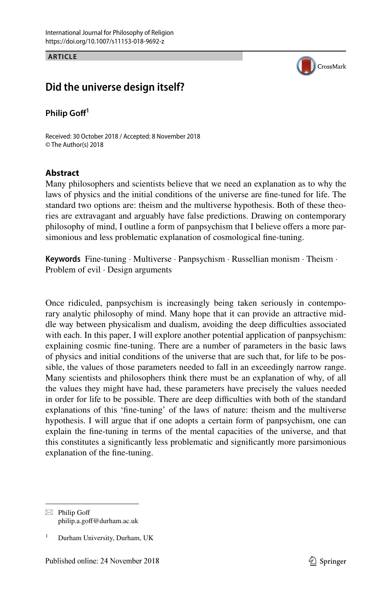**ARTICLE**



## **Did the universe design itself?**

**Philip Gof<sup>1</sup>**

Received: 30 October 2018 / Accepted: 8 November 2018 © The Author(s) 2018

### **Abstract**

Many philosophers and scientists believe that we need an explanation as to why the laws of physics and the initial conditions of the universe are fne-tuned for life. The standard two options are: theism and the multiverse hypothesis. Both of these theories are extravagant and arguably have false predictions. Drawing on contemporary philosophy of mind, I outline a form of panpsychism that I believe ofers a more parsimonious and less problematic explanation of cosmological fne-tuning.

**Keywords** Fine-tuning · Multiverse · Panpsychism · Russellian monism · Theism · Problem of evil · Design arguments

Once ridiculed, panpsychism is increasingly being taken seriously in contemporary analytic philosophy of mind. Many hope that it can provide an attractive middle way between physicalism and dualism, avoiding the deep difculties associated with each. In this paper, I will explore another potential application of panpsychism: explaining cosmic fne-tuning. There are a number of parameters in the basic laws of physics and initial conditions of the universe that are such that, for life to be possible, the values of those parameters needed to fall in an exceedingly narrow range. Many scientists and philosophers think there must be an explanation of why, of all the values they might have had, these parameters have precisely the values needed in order for life to be possible. There are deep difficulties with both of the standard explanations of this 'fne-tuning' of the laws of nature: theism and the multiverse hypothesis. I will argue that if one adopts a certain form of panpsychism, one can explain the fne-tuning in terms of the mental capacities of the universe, and that this constitutes a signifcantly less problematic and signifcantly more parsimonious explanation of the fne-tuning.

 $\boxtimes$  Philip Goff philip.a.gof@durham.ac.uk

Durham University, Durham, UK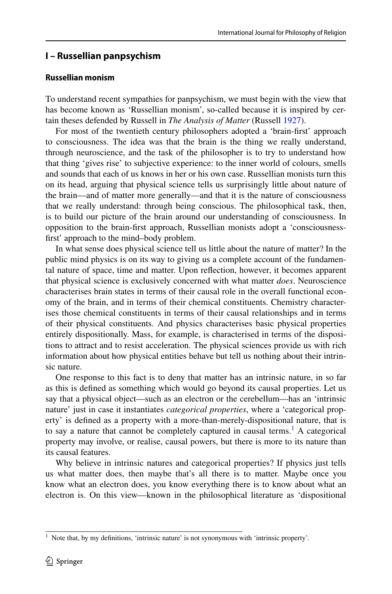## **I – Russellian panpsychism**

#### **Russellian monism**

To understand recent sympathies for panpsychism, we must begin with the view that has become known as 'Russellian monism', so-called because it is inspired by certain theses defended by Russell in *The Analysis of Matter* (Russell [1927\)](#page-24-0).

For most of the twentieth century philosophers adopted a 'brain-frst' approach to consciousness. The idea was that the brain is the thing we really understand, through neuroscience, and the task of the philosopher is to try to understand how that thing 'gives rise' to subjective experience: to the inner world of colours, smells and sounds that each of us knows in her or his own case. Russellian monists turn this on its head, arguing that physical science tells us surprisingly little about nature of the brain—and of matter more generally—and that it is the nature of consciousness that we really understand: through being conscious. The philosophical task, then, is to build our picture of the brain around our understanding of consciousness. In opposition to the brain-frst approach, Russellian monists adopt a 'consciousnessfrst' approach to the mind–body problem.

In what sense does physical science tell us little about the nature of matter? In the public mind physics is on its way to giving us a complete account of the fundamental nature of space, time and matter. Upon refection, however, it becomes apparent that physical science is exclusively concerned with what matter *does*. Neuroscience characterises brain states in terms of their causal role in the overall functional economy of the brain, and in terms of their chemical constituents. Chemistry characterises those chemical constituents in terms of their causal relationships and in terms of their physical constituents. And physics characterises basic physical properties entirely dispositionally. Mass, for example, is characterised in terms of the dispositions to attract and to resist acceleration. The physical sciences provide us with rich information about how physical entities behave but tell us nothing about their intrinsic nature.

One response to this fact is to deny that matter has an intrinsic nature, in so far as this is defned as something which would go beyond its causal properties. Let us say that a physical object—such as an electron or the cerebellum—has an 'intrinsic nature' just in case it instantiates *categorical properties*, where a 'categorical property' is defned as a property with a more-than-merely-dispositional nature, that is to say a nature that cannot be completely captured in causal terms.<sup>[1](#page-2-0)</sup> A categorical property may involve, or realise, causal powers, but there is more to its nature than its causal features.

Why believe in intrinsic natures and categorical properties? If physics just tells us what matter does, then maybe that's all there is to matter. Maybe once you know what an electron does, you know everything there is to know about what an electron is. On this view—known in the philosophical literature as 'dispositional

<span id="page-2-0"></span><sup>&</sup>lt;sup>1</sup> Note that, by my definitions, 'intrinsic nature' is not synonymous with 'intrinsic property'.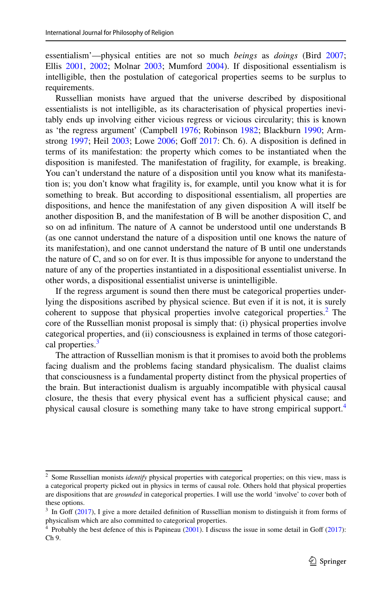essentialism'—physical entities are not so much *beings* as *doings* (Bird [2007;](#page-23-0) Ellis [2001,](#page-23-1) [2002;](#page-23-2) Molnar [2003;](#page-24-1) Mumford [2004](#page-24-2)). If dispositional essentialism is intelligible, then the postulation of categorical properties seems to be surplus to requirements.

Russellian monists have argued that the universe described by dispositional essentialists is not intelligible, as its characterisation of physical properties inevitably ends up involving either vicious regress or vicious circularity; this is known as 'the regress argument' (Campbell [1976](#page-23-3); Robinson [1982;](#page-24-3) Blackburn [1990](#page-23-4); Armstrong  $1997$ ; Heil  $2003$ ; Lowe  $2006$ ; Goff  $2017$ : Ch. 6). A disposition is defined in terms of its manifestation: the property which comes to be instantiated when the disposition is manifested. The manifestation of fragility, for example, is breaking. You can't understand the nature of a disposition until you know what its manifestation is; you don't know what fragility is, for example, until you know what it is for something to break. But according to dispositional essentialism, all properties are dispositions, and hence the manifestation of any given disposition A will itself be another disposition B, and the manifestation of B will be another disposition C, and so on ad infnitum. The nature of A cannot be understood until one understands B (as one cannot understand the nature of a disposition until one knows the nature of its manifestation), and one cannot understand the nature of B until one understands the nature of C, and so on for ever. It is thus impossible for anyone to understand the nature of any of the properties instantiated in a dispositional essentialist universe. In other words, a dispositional essentialist universe is unintelligible.

If the regress argument is sound then there must be categorical properties underlying the dispositions ascribed by physical science. But even if it is not, it is surely coherent to suppose that physical properties involve categorical properties.<sup>[2](#page-3-0)</sup> The core of the Russellian monist proposal is simply that: (i) physical properties involve categorical properties, and (ii) consciousness is explained in terms of those categori-cal properties.<sup>[3](#page-3-1)</sup>

The attraction of Russellian monism is that it promises to avoid both the problems facing dualism and the problems facing standard physicalism. The dualist claims that consciousness is a fundamental property distinct from the physical properties of the brain. But interactionist dualism is arguably incompatible with physical causal closure, the thesis that every physical event has a sufficient physical cause; and physical causal closure is something many take to have strong empirical support.[4](#page-3-2)

<span id="page-3-0"></span><sup>&</sup>lt;sup>2</sup> Some Russellian monists *identify* physical properties with categorical properties; on this view, mass is a categorical property picked out in physics in terms of causal role. Others hold that physical properties are dispositions that are *grounded* in categorical properties. I will use the world 'involve' to cover both of these options.

<span id="page-3-1"></span> $3\,$  In Goff ([2017\)](#page-23-6), I give a more detailed definition of Russellian monism to distinguish it from forms of physicalism which are also committed to categorical properties.

<span id="page-3-2"></span><sup>&</sup>lt;sup>4</sup> Probably the best defence of this is Papineau ([2001\)](#page-24-6). I discuss the issue in some detail in Goff [\(2017](#page-23-6)): Ch 9.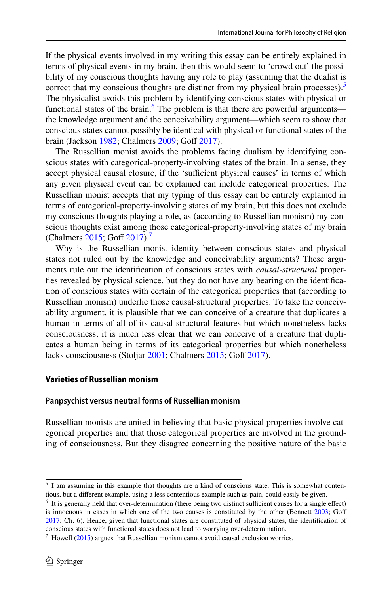If the physical events involved in my writing this essay can be entirely explained in terms of physical events in my brain, then this would seem to 'crowd out' the possibility of my conscious thoughts having any role to play (assuming that the dualist is correct that my conscious thoughts are distinct from my physical brain processes).<sup>[5](#page-4-0)</sup> The physicalist avoids this problem by identifying conscious states with physical or functional states of the brain.<sup>[6](#page-4-1)</sup> The problem is that there are powerful arguments the knowledge argument and the conceivability argument—which seem to show that conscious states cannot possibly be identical with physical or functional states of the brain (Jackson [1982](#page-24-7); Chalmers [2009](#page-23-7); Goff [2017](#page-23-6)).

The Russellian monist avoids the problems facing dualism by identifying conscious states with categorical-property-involving states of the brain. In a sense, they accept physical causal closure, if the 'sufficient physical causes' in terms of which any given physical event can be explained can include categorical properties. The Russellian monist accepts that my typing of this essay can be entirely explained in terms of categorical-property-involving states of my brain, but this does not exclude my conscious thoughts playing a role, as (according to Russellian monism) my conscious thoughts exist among those categorical-property-involving states of my brain (Chalmers [2015](#page-23-8); Goff [2017](#page-23-6)).<sup>7</sup>

Why is the Russellian monist identity between conscious states and physical states not ruled out by the knowledge and conceivability arguments? These arguments rule out the identifcation of conscious states with *causal*-*structural* properties revealed by physical science, but they do not have any bearing on the identifcation of conscious states with certain of the categorical properties that (according to Russellian monism) underlie those causal-structural properties. To take the conceivability argument, it is plausible that we can conceive of a creature that duplicates a human in terms of all of its causal-structural features but which nonetheless lacks consciousness; it is much less clear that we can conceive of a creature that duplicates a human being in terms of its categorical properties but which nonetheless lacks consciousness (Stoljar [2001](#page-24-8); Chalmers [2015;](#page-23-8) Goff [2017\)](#page-23-6).

#### **Varieties of Russellian monism**

#### **Panpsychist versus neutral forms of Russellian monism**

Russellian monists are united in believing that basic physical properties involve categorical properties and that those categorical properties are involved in the grounding of consciousness. But they disagree concerning the positive nature of the basic

<span id="page-4-0"></span><sup>5</sup> I am assuming in this example that thoughts are a kind of conscious state. This is somewhat contentious, but a diferent example, using a less contentious example such as pain, could easily be given.

<span id="page-4-1"></span> $6\,$  It is generally held that over-determination (there being two distinct sufficient causes for a single effect) is innocuous in cases in which one of the two causes is constituted by the other (Bennett [2003](#page-23-9); Goff [2017](#page-23-6): Ch. 6). Hence, given that functional states are constituted of physical states, the identifcation of conscious states with functional states does not lead to worrying over-determination.

<span id="page-4-2"></span> $\frac{7}{1}$  Howell ([2015\)](#page-24-9) argues that Russellian monism cannot avoid causal exclusion worries.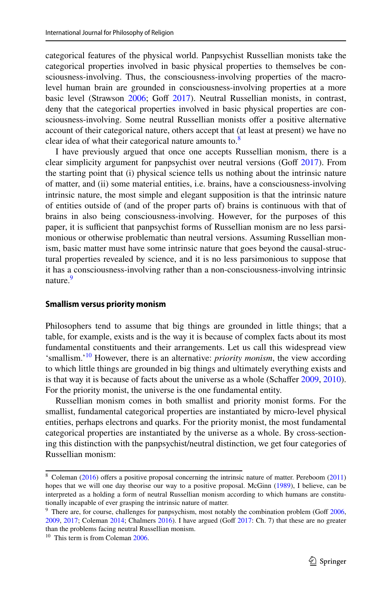categorical features of the physical world. Panpsychist Russellian monists take the categorical properties involved in basic physical properties to themselves be consciousness-involving. Thus, the consciousness-involving properties of the macrolevel human brain are grounded in consciousness-involving properties at a more basic level (Strawson [2006;](#page-24-10) Goff [2017\)](#page-23-6). Neutral Russellian monists, in contrast, deny that the categorical properties involved in basic physical properties are consciousness-involving. Some neutral Russellian monists ofer a positive alternative account of their categorical nature, others accept that (at least at present) we have no clear idea of what their categorical nature amounts to. $8$ 

I have previously argued that once one accepts Russellian monism, there is a clear simplicity argument for panpsychist over neutral versions (Goff  $2017$ ). From the starting point that (i) physical science tells us nothing about the intrinsic nature of matter, and (ii) some material entities, i.e. brains, have a consciousness-involving intrinsic nature, the most simple and elegant supposition is that the intrinsic nature of entities outside of (and of the proper parts of) brains is continuous with that of brains in also being consciousness-involving. However, for the purposes of this paper, it is sufficient that panpsychist forms of Russellian monism are no less parsimonious or otherwise problematic than neutral versions. Assuming Russellian monism, basic matter must have some intrinsic nature that goes beyond the causal-structural properties revealed by science, and it is no less parsimonious to suppose that it has a consciousness-involving rather than a non-consciousness-involving intrinsic nature.<sup>[9](#page-5-1)</sup>

#### **Smallism versus priority monism**

Philosophers tend to assume that big things are grounded in little things; that a table, for example, exists and is the way it is because of complex facts about its most fundamental constituents and their arrangements. Let us call this widespread view 'smallism.'[10](#page-5-2) However, there is an alternative: *priority monism*, the view according to which little things are grounded in big things and ultimately everything exists and is that way it is because of facts about the universe as a whole (Schaffer [2009,](#page-24-11) [2010\)](#page-24-12). For the priority monist, the universe is the one fundamental entity.

Russellian monism comes in both smallist and priority monist forms. For the smallist, fundamental categorical properties are instantiated by micro-level physical entities, perhaps electrons and quarks. For the priority monist, the most fundamental categorical properties are instantiated by the universe as a whole. By cross-sectioning this distinction with the panpsychist/neutral distinction, we get four categories of Russellian monism:

<span id="page-5-0"></span><sup>&</sup>lt;sup>8</sup> Coleman ([2016\)](#page-23-10) offers a positive proposal concerning the intrinsic nature of matter. Pereboom ([2011\)](#page-24-13) hopes that we will one day theorise our way to a positive proposal. McGinn ([1989\)](#page-24-14), I believe, can be interpreted as a holding a form of neutral Russellian monism according to which humans are constitutionally incapable of ever grasping the intrinsic nature of matter.

<span id="page-5-1"></span> $9$  There are, for course, challenges for panpsychism, most notably the combination problem (Goff [2006](#page-23-11),  $2009$ ,  $2017$ ; Coleman  $2014$ ; Chalmers  $2016$ ). I have argued (Goff  $2017$ : Ch. 7) that these are no greater than the problems facing neutral Russellian monism.

<span id="page-5-2"></span><sup>&</sup>lt;sup>10</sup> This term is from Coleman [2006](#page-23-15).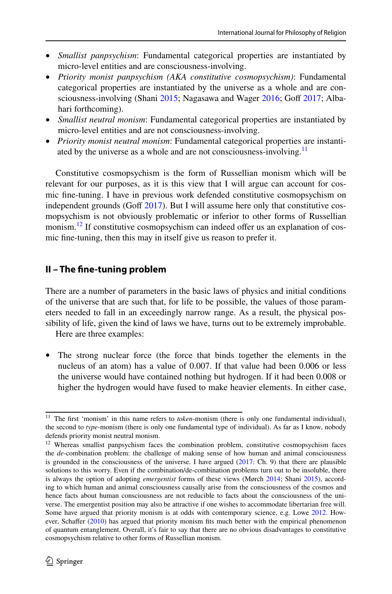- *Smallist panpsychism*: Fundamental categorical properties are instantiated by micro-level entities and are consciousness-involving.
- *P*r*iority monist panpsychism (AKA constitutive cosmopsychism)*: Fundamental categorical properties are instantiated by the universe as a whole and are con-sciousness-involving (Shani [2015;](#page-24-15) Nagasawa and Wager [2016;](#page-24-16) Goff [2017](#page-23-6); Albahari forthcoming).
- *Smallist neutral monism*: Fundamental categorical properties are instantiated by micro-level entities and are not consciousness-involving.
- *Priority monist neutral monism*: Fundamental categorical properties are instantiated by the universe as a whole and are not consciousness-involving.<sup>11</sup>

Constitutive cosmopsychism is the form of Russellian monism which will be relevant for our purposes, as it is this view that I will argue can account for cosmic fne-tuning. I have in previous work defended constitutive cosmopsychism on independent grounds (Goff  $2017$ ). But I will assume here only that constitutive cosmopsychism is not obviously problematic or inferior to other forms of Russellian monism.<sup>12</sup> If constitutive cosmopsychism can indeed offer us an explanation of cosmic fne-tuning, then this may in itself give us reason to prefer it.

## **II – The fne‑tuning problem**

There are a number of parameters in the basic laws of physics and initial conditions of the universe that are such that, for life to be possible, the values of those parameters needed to fall in an exceedingly narrow range. As a result, the physical possibility of life, given the kind of laws we have, turns out to be extremely improbable.

Here are three examples:

The strong nuclear force (the force that binds together the elements in the nucleus of an atom) has a value of 0.007. If that value had been 0.006 or less the universe would have contained nothing but hydrogen. If it had been 0.008 or higher the hydrogen would have fused to make heavier elements. In either case,

<span id="page-6-0"></span><sup>&</sup>lt;sup>11</sup> The first 'monism' in this name refers to *token*-monism (there is only one fundamental individual), the second to *type*-monism (there is only one fundamental type of individual). As far as I know, nobody defends priority monist neutral monism.

<span id="page-6-1"></span><sup>&</sup>lt;sup>12</sup> Whereas smallist panpsychism faces the combination problem, constitutive cosmopsychism faces the *de*-combination problem: the challenge of making sense of how human and animal consciousness is grounded in the consciousness of the universe. I have argued ([2017:](#page-23-6) Ch. 9) that there are plausible solutions to this worry. Even if the combination/de-combination problems turn out to be insoluble, there is always the option of adopting *emergentist* forms of these views (Mørch [2014;](#page-24-17) Shani [2015\)](#page-24-15), according to which human and animal consciousness causally arise from the consciousness of the cosmos and hence facts about human consciousness are not reducible to facts about the consciousness of the universe. The emergentist position may also be attractive if one wishes to accommodate libertarian free will. Some have argued that priority monism is at odds with contemporary science, e.g. Lowe [2012.](#page-24-18) How-ever, Schaffer ([2010\)](#page-24-12) has argued that priority monism fits much better with the empirical phenomenon of quantum entanglement. Overall, it's fair to say that there are no obvious disadvantages to constitutive cosmopsychism relative to other forms of Russellian monism.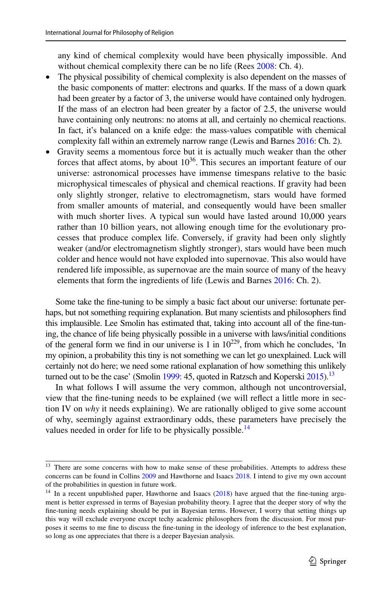any kind of chemical complexity would have been physically impossible. And without chemical complexity there can be no life (Rees [2008:](#page-24-19) Ch. 4).

- The physical possibility of chemical complexity is also dependent on the masses of the basic components of matter: electrons and quarks. If the mass of a down quark had been greater by a factor of 3, the universe would have contained only hydrogen. If the mass of an electron had been greater by a factor of 2.5, the universe would have containing only neutrons: no atoms at all, and certainly no chemical reactions. In fact, it's balanced on a knife edge: the mass-values compatible with chemical complexity fall within an extremely narrow range (Lewis and Barnes [2016](#page-24-20): Ch. 2).
- Gravity seems a momentous force but it is actually much weaker than the other forces that affect atoms, by about  $10^{36}$ . This secures an important feature of our universe: astronomical processes have immense timespans relative to the basic microphysical timescales of physical and chemical reactions. If gravity had been only slightly stronger, relative to electromagnetism, stars would have formed from smaller amounts of material, and consequently would have been smaller with much shorter lives. A typical sun would have lasted around 10,000 years rather than 10 billion years, not allowing enough time for the evolutionary processes that produce complex life. Conversely, if gravity had been only slightly weaker (and/or electromagnetism slightly stronger), stars would have been much colder and hence would not have exploded into supernovae. This also would have rendered life impossible, as supernovae are the main source of many of the heavy elements that form the ingredients of life (Lewis and Barnes [2016](#page-24-20): Ch. 2).

Some take the fne-tuning to be simply a basic fact about our universe: fortunate perhaps, but not something requiring explanation. But many scientists and philosophers fnd this implausible. Lee Smolin has estimated that, taking into account all of the fne-tuning, the chance of life being physically possible in a universe with laws/initial conditions of the general form we find in our universe is 1 in  $10^{229}$ , from which he concludes, 'In my opinion, a probability this tiny is not something we can let go unexplained. Luck will certainly not do here; we need some rational explanation of how something this unlikely turned out to be the case' (Smolin [1999](#page-24-21): 45, quoted in Ratzsch and Koperski  $2015$ ).<sup>[13](#page-7-0)</sup>

In what follows I will assume the very common, although not uncontroversial, view that the fne-tuning needs to be explained (we will refect a little more in section IV on *why* it needs explaining). We are rationally obliged to give some account of why, seemingly against extraordinary odds, these parameters have precisely the values needed in order for life to be physically possible.<sup>[14](#page-7-1)</sup>

<span id="page-7-0"></span><sup>&</sup>lt;sup>13</sup> There are some concerns with how to make sense of these probabilities. Attempts to address these concerns can be found in Collins [2009](#page-23-16) and Hawthorne and Isaacs [2018](#page-23-17). I intend to give my own account of the probabilities in question in future work.

<span id="page-7-1"></span><sup>&</sup>lt;sup>14</sup> In a recent unpublished paper, Hawthorne and Isaacs ([2018\)](#page-23-17) have argued that the fine-tuning argument is better expressed in terms of Bayesian probability theory. I agree that the deeper story of why the fne-tuning needs explaining should be put in Bayesian terms. However, I worry that setting things up this way will exclude everyone except techy academic philosophers from the discussion. For most purposes it seems to me fne to discuss the fne-tuning in the ideology of inference to the best explanation, so long as one appreciates that there is a deeper Bayesian analysis.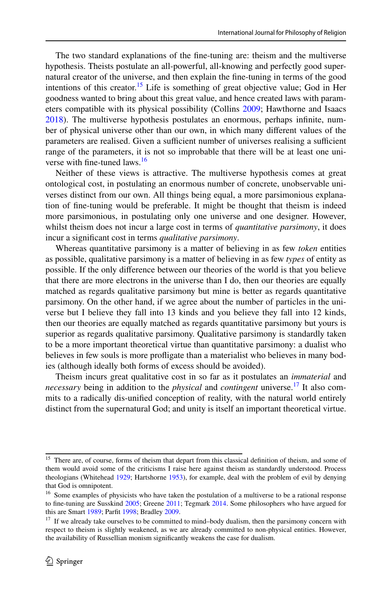The two standard explanations of the fne-tuning are: theism and the multiverse hypothesis. Theists postulate an all-powerful, all-knowing and perfectly good supernatural creator of the universe, and then explain the fne-tuning in terms of the good intentions of this creator.<sup>15</sup> Life is something of great objective value; God in Her goodness wanted to bring about this great value, and hence created laws with parameters compatible with its physical possibility (Collins [2009](#page-23-16); Hawthorne and Isaacs [2018](#page-23-17)). The multiverse hypothesis postulates an enormous, perhaps infnite, number of physical universe other than our own, in which many diferent values of the parameters are realised. Given a sufficient number of universes realising a sufficient range of the parameters, it is not so improbable that there will be at least one uni-verse with fine-tuned laws.<sup>[16](#page-8-1)</sup>

Neither of these views is attractive. The multiverse hypothesis comes at great ontological cost, in postulating an enormous number of concrete, unobservable universes distinct from our own. All things being equal, a more parsimonious explanation of fne-tuning would be preferable. It might be thought that theism is indeed more parsimonious, in postulating only one universe and one designer. However, whilst theism does not incur a large cost in terms of *quantitative parsimony*, it does incur a signifcant cost in terms *qualitative parsimony*.

Whereas quantitative parsimony is a matter of believing in as few *token* entities as possible, qualitative parsimony is a matter of believing in as few *types* of entity as possible. If the only diference between our theories of the world is that you believe that there are more electrons in the universe than I do, then our theories are equally matched as regards qualitative parsimony but mine is better as regards quantitative parsimony. On the other hand, if we agree about the number of particles in the universe but I believe they fall into 13 kinds and you believe they fall into 12 kinds, then our theories are equally matched as regards quantitative parsimony but yours is superior as regards qualitative parsimony. Qualitative parsimony is standardly taken to be a more important theoretical virtue than quantitative parsimony: a dualist who believes in few souls is more profigate than a materialist who believes in many bodies (although ideally both forms of excess should be avoided).

Theism incurs great qualitative cost in so far as it postulates an *immaterial* and *necessary* being in addition to the *physical* and *contingent* universe.<sup>17</sup> It also commits to a radically dis-unifed conception of reality, with the natural world entirely distinct from the supernatural God; and unity is itself an important theoretical virtue.

<span id="page-8-0"></span><sup>&</sup>lt;sup>15</sup> There are, of course, forms of theism that depart from this classical definition of theism, and some of them would avoid some of the criticisms I raise here against theism as standardly understood. Process theologians (Whitehead [1929](#page-24-23); Hartshorne [1953](#page-23-18)), for example, deal with the problem of evil by denying that God is omnipotent.

<span id="page-8-1"></span><sup>&</sup>lt;sup>16</sup> Some examples of physicists who have taken the postulation of a multiverse to be a rational response to fne-tuning are Susskind [2005](#page-24-24); Greene [2011](#page-23-19); Tegmark [2014.](#page-24-25) Some philosophers who have argued for this are Smart [1989;](#page-24-26) Parft [1998](#page-24-27); Bradley [2009.](#page-23-20)

<span id="page-8-2"></span><sup>&</sup>lt;sup>17</sup> If we already take ourselves to be committed to mind–body dualism, then the parsimony concern with respect to theism is slightly weakened, as we are already committed to non-physical entities. However, the availability of Russellian monism signifcantly weakens the case for dualism.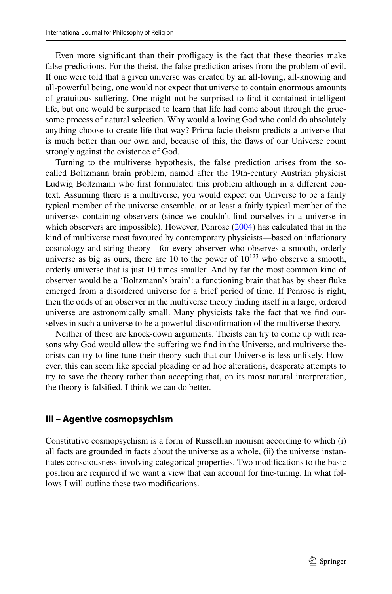Even more signifcant than their profigacy is the fact that these theories make false predictions. For the theist, the false prediction arises from the problem of evil. If one were told that a given universe was created by an all-loving, all-knowing and all-powerful being, one would not expect that universe to contain enormous amounts of gratuitous sufering. One might not be surprised to fnd it contained intelligent life, but one would be surprised to learn that life had come about through the gruesome process of natural selection. Why would a loving God who could do absolutely anything choose to create life that way? Prima facie theism predicts a universe that is much better than our own and, because of this, the faws of our Universe count strongly against the existence of God.

Turning to the multiverse hypothesis, the false prediction arises from the socalled Boltzmann brain problem, named after the 19th-century Austrian physicist Ludwig Boltzmann who frst formulated this problem although in a diferent context. Assuming there is a multiverse, you would expect our Universe to be a fairly typical member of the universe ensemble, or at least a fairly typical member of the universes containing observers (since we couldn't fnd ourselves in a universe in which observers are impossible). However, Penrose [\(2004](#page-24-28)) has calculated that in the kind of multiverse most favoured by contemporary physicists—based on infationary cosmology and string theory—for every observer who observes a smooth, orderly universe as big as ours, there are 10 to the power of  $10^{123}$  who observe a smooth, orderly universe that is just 10 times smaller. And by far the most common kind of observer would be a 'Boltzmann's brain': a functioning brain that has by sheer fuke emerged from a disordered universe for a brief period of time. If Penrose is right, then the odds of an observer in the multiverse theory fnding itself in a large, ordered universe are astronomically small. Many physicists take the fact that we fnd ourselves in such a universe to be a powerful disconfrmation of the multiverse theory.

Neither of these are knock-down arguments. Theists can try to come up with reasons why God would allow the sufering we fnd in the Universe, and multiverse theorists can try to fne-tune their theory such that our Universe is less unlikely. However, this can seem like special pleading or ad hoc alterations, desperate attempts to try to save the theory rather than accepting that, on its most natural interpretation, the theory is falsifed. I think we can do better.

#### **III – Agentive cosmopsychism**

Constitutive cosmopsychism is a form of Russellian monism according to which (i) all facts are grounded in facts about the universe as a whole, (ii) the universe instantiates consciousness-involving categorical properties. Two modifcations to the basic position are required if we want a view that can account for fne-tuning. In what follows I will outline these two modifcations.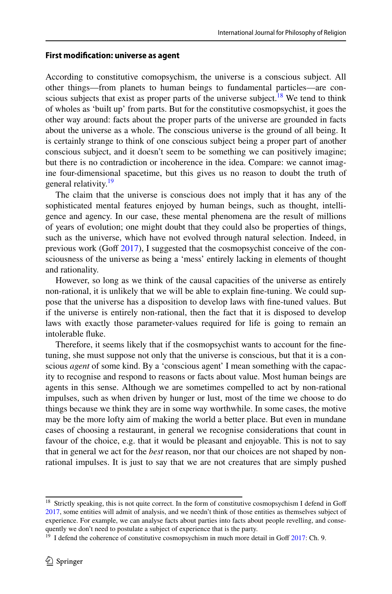#### **First modifcation: universe as agent**

According to constitutive comopsychism, the universe is a conscious subject. All other things—from planets to human beings to fundamental particles—are conscious subjects that exist as proper parts of the universe subject.<sup>18</sup> We tend to think of wholes as 'built up' from parts. But for the constitutive cosmopsychist, it goes the other way around: facts about the proper parts of the universe are grounded in facts about the universe as a whole. The conscious universe is the ground of all being. It is certainly strange to think of one conscious subject being a proper part of another conscious subject, and it doesn't seem to be something we can positively imagine; but there is no contradiction or incoherence in the idea. Compare: we cannot imagine four-dimensional spacetime, but this gives us no reason to doubt the truth of general relativity.<sup>[19](#page-10-1)</sup>

The claim that the universe is conscious does not imply that it has any of the sophisticated mental features enjoyed by human beings, such as thought, intelligence and agency. In our case, these mental phenomena are the result of millions of years of evolution; one might doubt that they could also be properties of things, such as the universe, which have not evolved through natural selection. Indeed, in previous work (Goff  $2017$ ), I suggested that the cosmopsychist conceive of the consciousness of the universe as being a 'mess' entirely lacking in elements of thought and rationality.

However, so long as we think of the causal capacities of the universe as entirely non-rational, it is unlikely that we will be able to explain fne-tuning. We could suppose that the universe has a disposition to develop laws with fne-tuned values. But if the universe is entirely non-rational, then the fact that it is disposed to develop laws with exactly those parameter-values required for life is going to remain an intolerable fuke.

Therefore, it seems likely that if the cosmopsychist wants to account for the fnetuning, she must suppose not only that the universe is conscious, but that it is a conscious *agent* of some kind. By a 'conscious agent' I mean something with the capacity to recognise and respond to reasons or facts about value. Most human beings are agents in this sense. Although we are sometimes compelled to act by non-rational impulses, such as when driven by hunger or lust, most of the time we choose to do things because we think they are in some way worthwhile. In some cases, the motive may be the more lofty aim of making the world a better place. But even in mundane cases of choosing a restaurant, in general we recognise considerations that count in favour of the choice, e.g. that it would be pleasant and enjoyable. This is not to say that in general we act for the *best* reason, nor that our choices are not shaped by nonrational impulses. It is just to say that we are not creatures that are simply pushed

<span id="page-10-0"></span><sup>&</sup>lt;sup>18</sup> Strictly speaking, this is not quite correct. In the form of constitutive cosmopsychism I defend in Goff [2017](#page-23-6), some entities will admit of analysis, and we needn't think of those entities as themselves subject of experience. For example, we can analyse facts about parties into facts about people revelling, and consequently we don't need to postulate a subject of experience that is the party.

<span id="page-10-1"></span> $19$  I defend the coherence of constitutive cosmopsychism in much more detail in Goff  $2017$ : Ch. 9.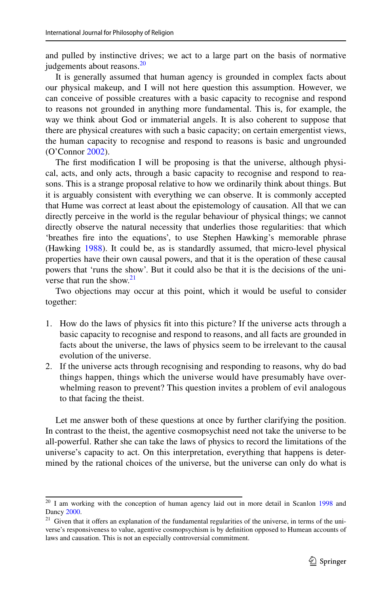and pulled by instinctive drives; we act to a large part on the basis of normative judgements about reasons.<sup>[20](#page-11-0)</sup>

It is generally assumed that human agency is grounded in complex facts about our physical makeup, and I will not here question this assumption. However, we can conceive of possible creatures with a basic capacity to recognise and respond to reasons not grounded in anything more fundamental. This is, for example, the way we think about God or immaterial angels. It is also coherent to suppose that there are physical creatures with such a basic capacity; on certain emergentist views, the human capacity to recognise and respond to reasons is basic and ungrounded (O'Connor [2002](#page-24-29)).

The frst modifcation I will be proposing is that the universe, although physical, acts, and only acts, through a basic capacity to recognise and respond to reasons. This is a strange proposal relative to how we ordinarily think about things. But it is arguably consistent with everything we can observe. It is commonly accepted that Hume was correct at least about the epistemology of causation. All that we can directly perceive in the world is the regular behaviour of physical things; we cannot directly observe the natural necessity that underlies those regularities: that which 'breathes fre into the equations', to use Stephen Hawking's memorable phrase (Hawking [1988\)](#page-23-21). It could be, as is standardly assumed, that micro-level physical properties have their own causal powers, and that it is the operation of these causal powers that 'runs the show'. But it could also be that it is the decisions of the uni-verse that run the show.<sup>[21](#page-11-1)</sup>

Two objections may occur at this point, which it would be useful to consider together:

- 1. How do the laws of physics ft into this picture? If the universe acts through a basic capacity to recognise and respond to reasons, and all facts are grounded in facts about the universe, the laws of physics seem to be irrelevant to the causal evolution of the universe.
- 2. If the universe acts through recognising and responding to reasons, why do bad things happen, things which the universe would have presumably have overwhelming reason to prevent? This question invites a problem of evil analogous to that facing the theist.

Let me answer both of these questions at once by further clarifying the position. In contrast to the theist, the agentive cosmopsychist need not take the universe to be all-powerful. Rather she can take the laws of physics to record the limitations of the universe's capacity to act. On this interpretation, everything that happens is determined by the rational choices of the universe, but the universe can only do what is

<span id="page-11-0"></span><sup>&</sup>lt;sup>20</sup> I am working with the conception of human agency laid out in more detail in Scanlon [1998](#page-24-30) and Dancy [2000.](#page-23-22)

<span id="page-11-1"></span><sup>&</sup>lt;sup>21</sup> Given that it offers an explanation of the fundamental regularities of the universe, in terms of the universe's responsiveness to value, agentive cosmopsychism is by defnition opposed to Humean accounts of laws and causation. This is not an especially controversial commitment.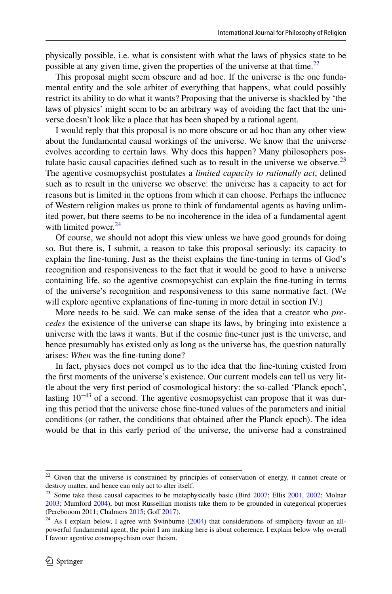physically possible, i.e. what is consistent with what the laws of physics state to be possible at any given time, given the properties of the universe at that time.<sup>22</sup>

This proposal might seem obscure and ad hoc. If the universe is the one fundamental entity and the sole arbiter of everything that happens, what could possibly restrict its ability to do what it wants? Proposing that the universe is shackled by 'the laws of physics' might seem to be an arbitrary way of avoiding the fact that the universe doesn't look like a place that has been shaped by a rational agent.

I would reply that this proposal is no more obscure or ad hoc than any other view about the fundamental causal workings of the universe. We know that the universe evolves according to certain laws. Why does this happen? Many philosophers postulate basic causal capacities defined such as to result in the universe we observe.<sup>23</sup> The agentive cosmopsychist postulates a *limited capacity to rationally act*, defned such as to result in the universe we observe: the universe has a capacity to act for reasons but is limited in the options from which it can choose. Perhaps the infuence of Western religion makes us prone to think of fundamental agents as having unlimited power, but there seems to be no incoherence in the idea of a fundamental agent with limited power.<sup>[24](#page-12-2)</sup>

Of course, we should not adopt this view unless we have good grounds for doing so. But there is, I submit, a reason to take this proposal seriously: its capacity to explain the fne-tuning. Just as the theist explains the fne-tuning in terms of God's recognition and responsiveness to the fact that it would be good to have a universe containing life, so the agentive cosmopsychist can explain the fne-tuning in terms of the universe's recognition and responsiveness to this same normative fact. (We will explore agentive explanations of fine-tuning in more detail in section IV.)

More needs to be said. We can make sense of the idea that a creator who *precedes* the existence of the universe can shape its laws, by bringing into existence a universe with the laws it wants. But if the cosmic fne-tuner just is the universe, and hence presumably has existed only as long as the universe has, the question naturally arises: *When* was the fne-tuning done?

In fact, physics does not compel us to the idea that the fne-tuning existed from the frst moments of the universe's existence. Our current models can tell us very little about the very frst period of cosmological history: the so-called 'Planck epoch', lasting  $10^{-43}$  of a second. The agentive cosmopsychist can propose that it was during this period that the universe chose fne-tuned values of the parameters and initial conditions (or rather, the conditions that obtained after the Planck epoch). The idea would be that in this early period of the universe, the universe had a constrained

<span id="page-12-0"></span><sup>&</sup>lt;sup>22</sup> Given that the universe is constrained by principles of conservation of energy, it cannot create or destroy matter, and hence can only act to alter itself.

<span id="page-12-1"></span><sup>&</sup>lt;sup>23</sup> Some take these causal capacities to be metaphysically basic (Bird  $2007$ ; Ellis  $2001$ ,  $2002$ ; Molnar [2003](#page-24-1); Mumford [2004\)](#page-24-2), but most Russellian monists take them to be grounded in categorical properties (Perebooom 2011; Chalmers [2015;](#page-23-8) Goff [2017\)](#page-23-6).

<span id="page-12-2"></span><sup>&</sup>lt;sup>24</sup> As I explain below, I agree with Swinburne ([2004\)](#page-24-31) that considerations of simplicity favour an allpowerful fundamental agent; the point I am making here is about coherence. I explain below why overall I favour agentive cosmopsychism over theism.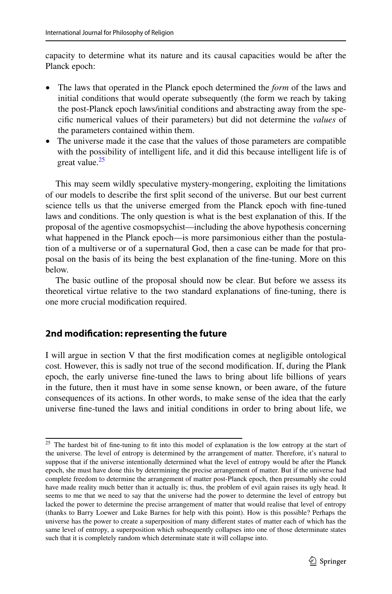capacity to determine what its nature and its causal capacities would be after the Planck epoch:

- The laws that operated in the Planck epoch determined the *form* of the laws and initial conditions that would operate subsequently (the form we reach by taking the post-Planck epoch laws/initial conditions and abstracting away from the specifc numerical values of their parameters) but did not determine the *values* of the parameters contained within them.
- The universe made it the case that the values of those parameters are compatible with the possibility of intelligent life, and it did this because intelligent life is of great value.<sup>[25](#page-13-0)</sup>

This may seem wildly speculative mystery-mongering, exploiting the limitations of our models to describe the frst split second of the universe. But our best current science tells us that the universe emerged from the Planck epoch with fne-tuned laws and conditions. The only question is what is the best explanation of this. If the proposal of the agentive cosmopsychist—including the above hypothesis concerning what happened in the Planck epoch—is more parsimonious either than the postulation of a multiverse or of a supernatural God, then a case can be made for that proposal on the basis of its being the best explanation of the fne-tuning. More on this below.

The basic outline of the proposal should now be clear. But before we assess its theoretical virtue relative to the two standard explanations of fne-tuning, there is one more crucial modifcation required.

## **2nd modifcation: representing the future**

I will argue in section V that the frst modifcation comes at negligible ontological cost. However, this is sadly not true of the second modifcation. If, during the Plank epoch, the early universe fne-tuned the laws to bring about life billions of years in the future, then it must have in some sense known, or been aware, of the future consequences of its actions. In other words, to make sense of the idea that the early universe fne-tuned the laws and initial conditions in order to bring about life, we

<span id="page-13-0"></span><sup>&</sup>lt;sup>25</sup> The hardest bit of fine-tuning to fit into this model of explanation is the low entropy at the start of the universe. The level of entropy is determined by the arrangement of matter. Therefore, it's natural to suppose that if the universe intentionally determined what the level of entropy would be after the Planck epoch, she must have done this by determining the precise arrangement of matter. But if the universe had complete freedom to determine the arrangement of matter post-Planck epoch, then presumably she could have made reality much better than it actually is; thus, the problem of evil again raises its ugly head. It seems to me that we need to say that the universe had the power to determine the level of entropy but lacked the power to determine the precise arrangement of matter that would realise that level of entropy (thanks to Barry Loewer and Luke Barnes for help with this point). How is this possible? Perhaps the universe has the power to create a superposition of many diferent states of matter each of which has the same level of entropy, a superposition which subsequently collapses into one of those determinate states such that it is completely random which determinate state it will collapse into.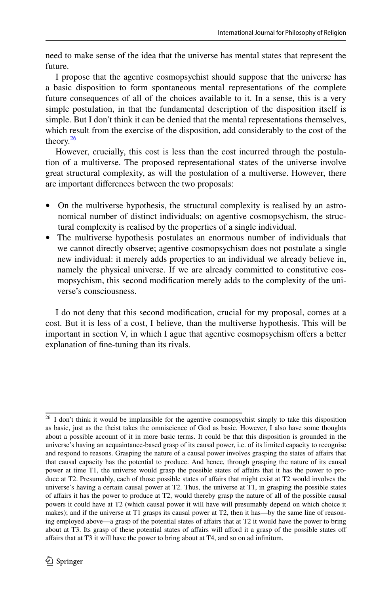need to make sense of the idea that the universe has mental states that represent the future.

I propose that the agentive cosmopsychist should suppose that the universe has a basic disposition to form spontaneous mental representations of the complete future consequences of all of the choices available to it. In a sense, this is a very simple postulation, in that the fundamental description of the disposition itself is simple. But I don't think it can be denied that the mental representations themselves, which result from the exercise of the disposition, add considerably to the cost of the theory. $26$ 

However, crucially, this cost is less than the cost incurred through the postulation of a multiverse. The proposed representational states of the universe involve great structural complexity, as will the postulation of a multiverse. However, there are important diferences between the two proposals:

- On the multiverse hypothesis, the structural complexity is realised by an astronomical number of distinct individuals; on agentive cosmopsychism, the structural complexity is realised by the properties of a single individual.
- The multiverse hypothesis postulates an enormous number of individuals that we cannot directly observe; agentive cosmopsychism does not postulate a single new individual: it merely adds properties to an individual we already believe in, namely the physical universe. If we are already committed to constitutive cosmopsychism, this second modifcation merely adds to the complexity of the universe's consciousness.

I do not deny that this second modifcation, crucial for my proposal, comes at a cost. But it is less of a cost, I believe, than the multiverse hypothesis. This will be important in section V, in which I ague that agentive cosmopsychism ofers a better explanation of fne-tuning than its rivals.

<span id="page-14-0"></span><sup>&</sup>lt;sup>26</sup> I don't think it would be implausible for the agentive cosmopsychist simply to take this disposition as basic, just as the theist takes the omniscience of God as basic. However, I also have some thoughts about a possible account of it in more basic terms. It could be that this disposition is grounded in the universe's having an acquaintance-based grasp of its causal power, i.e. of its limited capacity to recognise and respond to reasons. Grasping the nature of a causal power involves grasping the states of afairs that that causal capacity has the potential to produce. And hence, through grasping the nature of its causal power at time T1, the universe would grasp the possible states of afairs that it has the power to produce at T2. Presumably, each of those possible states of afairs that might exist at T2 would involves the universe's having a certain causal power at T2. Thus, the universe at T1, in grasping the possible states of afairs it has the power to produce at T2, would thereby grasp the nature of all of the possible causal powers it could have at T2 (which causal power it will have will presumably depend on which choice it makes); and if the universe at T1 grasps its causal power at T2, then it has—by the same line of reasoning employed above—a grasp of the potential states of afairs that at T2 it would have the power to bring about at T3. Its grasp of these potential states of affairs will afford it a grasp of the possible states off afairs that at T3 it will have the power to bring about at T4, and so on ad infnitum.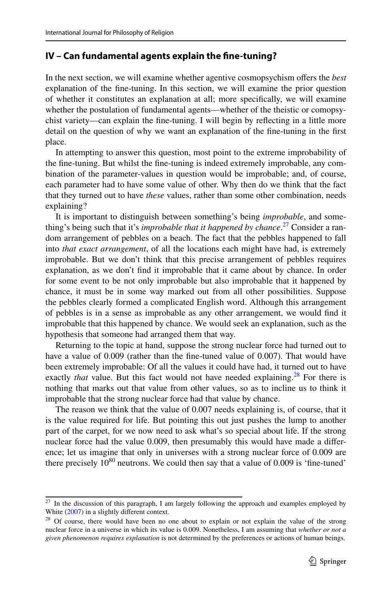## **IV – Can fundamental agents explain the fne‑tuning?**

In the next section, we will examine whether agentive cosmopsychism ofers the *best* explanation of the fne-tuning. In this section, we will examine the prior question of whether it constitutes an explanation at all; more specifcally, we will examine whether the postulation of fundamental agents—whether of the theistic or comopsychist variety—can explain the fne-tuning. I will begin by refecting in a little more detail on the question of why we want an explanation of the fne-tuning in the frst place.

In attempting to answer this question, most point to the extreme improbability of the fne-tuning. But whilst the fne-tuning is indeed extremely improbable, any combination of the parameter-values in question would be improbable; and, of course, each parameter had to have some value of other. Why then do we think that the fact that they turned out to have *these* values, rather than some other combination, needs explaining?

It is important to distinguish between something's being *improbable*, and something's being such that it's *improbable that it happened by chance*. [27](#page-15-0) Consider a random arrangement of pebbles on a beach. The fact that the pebbles happened to fall into *that exact arrangement*, of all the locations each might have had, is extremely improbable. But we don't think that this precise arrangement of pebbles requires explanation, as we don't fnd it improbable that it came about by chance. In order for some event to be not only improbable but also improbable that it happened by chance, it must be in some way marked out from all other possibilities. Suppose the pebbles clearly formed a complicated English word. Although this arrangement of pebbles is in a sense as improbable as any other arrangement, we would fnd it improbable that this happened by chance. We would seek an explanation, such as the hypothesis that someone had arranged them that way.

Returning to the topic at hand, suppose the strong nuclear force had turned out to have a value of 0.009 (rather than the fne-tuned value of 0.007). That would have been extremely improbable: Of all the values it could have had, it turned out to have exactly *that* value. But this fact would not have needed explaining.<sup>28</sup> For there is nothing that marks out that value from other values, so as to incline us to think it improbable that the strong nuclear force had that value by chance.

The reason we think that the value of 0.007 needs explaining is, of course, that it is the value required for life. But pointing this out just pushes the lump to another part of the carpet, for we now need to ask what's so special about life. If the strong nuclear force had the value 0.009, then presumably this would have made a diference; let us imagine that only in universes with a strong nuclear force of 0.009 are there precisely  $10^{80}$  neutrons. We could then say that a value of 0.009 is 'fine-tuned'

<span id="page-15-0"></span><sup>&</sup>lt;sup>27</sup> In the discussion of this paragraph, I am largely following the approach and examples employed by White [\(2007](#page-24-32)) in a slightly different context.

<span id="page-15-1"></span><sup>&</sup>lt;sup>28</sup> Of course, there would have been no one about to explain or not explain the value of the strong nuclear force in a universe in which its value is 0.009. Nonetheless, I am assuming that *whether or not a given phenomenon requires explanation* is not determined by the preferences or actions of human beings.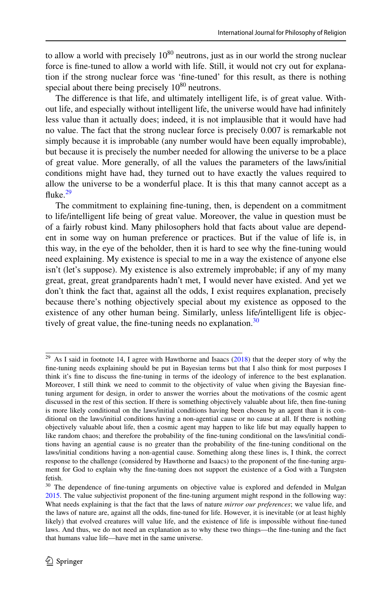to allow a world with precisely  $10^{80}$  neutrons, just as in our world the strong nuclear force is fne-tuned to allow a world with life. Still, it would not cry out for explanation if the strong nuclear force was 'fne-tuned' for this result, as there is nothing special about there being precisely  $10^{80}$  neutrons.

The diference is that life, and ultimately intelligent life, is of great value. Without life, and especially without intelligent life, the universe would have had infnitely less value than it actually does; indeed, it is not implausible that it would have had no value. The fact that the strong nuclear force is precisely 0.007 is remarkable not simply because it is improbable (any number would have been equally improbable), but because it is precisely the number needed for allowing the universe to be a place of great value. More generally, of all the values the parameters of the laws/initial conditions might have had, they turned out to have exactly the values required to allow the universe to be a wonderful place. It is this that many cannot accept as a fluke. $29$ 

The commitment to explaining fne-tuning, then, is dependent on a commitment to life/intelligent life being of great value. Moreover, the value in question must be of a fairly robust kind. Many philosophers hold that facts about value are dependent in some way on human preference or practices. But if the value of life is, in this way, in the eye of the beholder, then it is hard to see why the fne-tuning would need explaining. My existence is special to me in a way the existence of anyone else isn't (let's suppose). My existence is also extremely improbable; if any of my many great, great, great grandparents hadn't met, I would never have existed. And yet we don't think the fact that, against all the odds, I exist requires explanation, precisely because there's nothing objectively special about my existence as opposed to the existence of any other human being. Similarly, unless life/intelligent life is objec-tively of great value, the fine-tuning needs no explanation.<sup>[30](#page-16-1)</sup>

<span id="page-16-0"></span> $29$  As I said in footnote 14, I agree with Hawthorne and Isaacs [\(2018](#page-23-17)) that the deeper story of why the fne-tuning needs explaining should be put in Bayesian terms but that I also think for most purposes I think it's fne to discuss the fne-tuning in terms of the ideology of inference to the best explanation. Moreover, I still think we need to commit to the objectivity of value when giving the Bayesian fnetuning argument for design, in order to answer the worries about the motivations of the cosmic agent discussed in the rest of this section. If there is something objectively valuable about life, then fne-tuning is more likely conditional on the laws/initial conditions having been chosen by an agent than it is conditional on the laws/initial conditions having a non-agential cause or no cause at all. If there is nothing objectively valuable about life, then a cosmic agent may happen to like life but may equally happen to like random chaos; and therefore the probability of the fne-tuning conditional on the laws/initial conditions having an agential cause is no greater than the probability of the fne-tuning conditional on the laws/initial conditions having a non-agential cause. Something along these lines is, I think, the correct response to the challenge (considered by Hawthorne and Isaacs) to the proponent of the fne-tuning argument for God to explain why the fne-tuning does not support the existence of a God with a Tungsten fetish.

<span id="page-16-1"></span><sup>&</sup>lt;sup>30</sup> The dependence of fine-tuning arguments on objective value is explored and defended in Mulgan [2015](#page-24-33). The value subjectivist proponent of the fne-tuning argument might respond in the following way: What needs explaining is that the fact that the laws of nature *mirror our preferences*; we value life, and the laws of nature are, against all the odds, fne-tuned for life. However, it is inevitable (or at least highly likely) that evolved creatures will value life, and the existence of life is impossible without fne-tuned laws. And thus, we do not need an explanation as to why these two things—the fne-tuning and the fact that humans value life—have met in the same universe.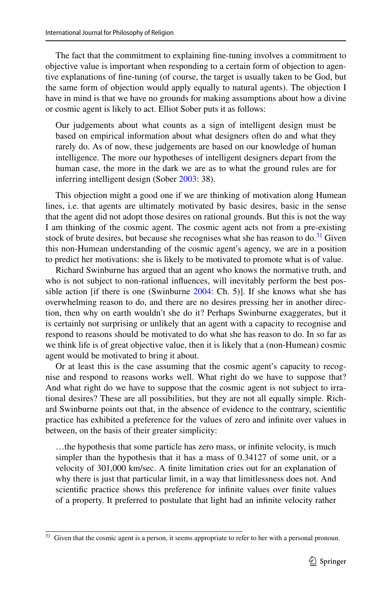The fact that the commitment to explaining fne-tuning involves a commitment to objective value is important when responding to a certain form of objection to agentive explanations of fne-tuning (of course, the target is usually taken to be God, but the same form of objection would apply equally to natural agents). The objection I have in mind is that we have no grounds for making assumptions about how a divine or cosmic agent is likely to act. Elliot Sober puts it as follows:

Our judgements about what counts as a sign of intelligent design must be based on empirical information about what designers often do and what they rarely do. As of now, these judgements are based on our knowledge of human intelligence. The more our hypotheses of intelligent designers depart from the human case, the more in the dark we are as to what the ground rules are for inferring intelligent design (Sober [2003:](#page-24-34) 38).

This objection might a good one if we are thinking of motivation along Humean lines, i.e. that agents are ultimately motivated by basic desires, basic in the sense that the agent did not adopt those desires on rational grounds. But this is not the way I am thinking of the cosmic agent. The cosmic agent acts not from a pre-existing stock of brute desires, but because she recognises what she has reason to do.<sup>31</sup> Given this non-Humean understanding of the cosmic agent's agency, we are in a position to predict her motivations: she is likely to be motivated to promote what is of value.

Richard Swinburne has argued that an agent who knows the normative truth, and who is not subject to non-rational infuences, will inevitably perform the best pos-sible action [if there is one (Swinburne [2004:](#page-24-31) Ch. 5)]. If she knows what she has overwhelming reason to do, and there are no desires pressing her in another direction, then why on earth wouldn't she do it? Perhaps Swinburne exaggerates, but it is certainly not surprising or unlikely that an agent with a capacity to recognise and respond to reasons should be motivated to do what she has reason to do. In so far as we think life is of great objective value, then it is likely that a (non-Humean) cosmic agent would be motivated to bring it about.

Or at least this is the case assuming that the cosmic agent's capacity to recognise and respond to reasons works well. What right do we have to suppose that? And what right do we have to suppose that the cosmic agent is not subject to irrational desires? These are all possibilities, but they are not all equally simple. Richard Swinburne points out that, in the absence of evidence to the contrary, scientifc practice has exhibited a preference for the values of zero and infnite over values in between, on the basis of their greater simplicity:

…the hypothesis that some particle has zero mass, or infnite velocity, is much simpler than the hypothesis that it has a mass of 0.34127 of some unit, or a velocity of 301,000 km/sec. A fnite limitation cries out for an explanation of why there is just that particular limit, in a way that limitlessness does not. And scientifc practice shows this preference for infnite values over fnite values of a property. It preferred to postulate that light had an infnite velocity rather

<span id="page-17-0"></span><sup>&</sup>lt;sup>31</sup> Given that the cosmic agent is a person, it seems appropriate to refer to her with a personal pronoun.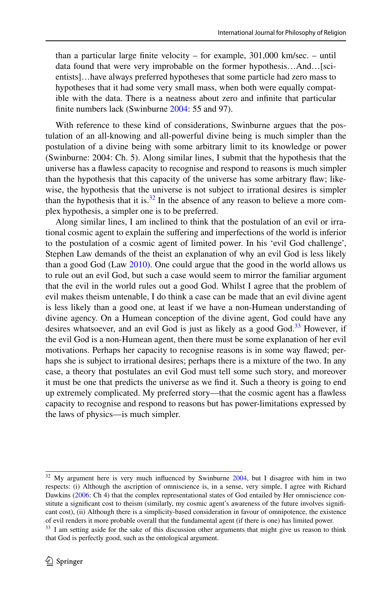than a particular large fnite velocity – for example, 301,000 km/sec. – until data found that were very improbable on the former hypothesis…And…[scientists]…have always preferred hypotheses that some particle had zero mass to hypotheses that it had some very small mass, when both were equally compatible with the data. There is a neatness about zero and infnite that particular finite numbers lack (Swinburne [2004:](#page-24-31) 55 and 97).

With reference to these kind of considerations, Swinburne argues that the postulation of an all-knowing and all-powerful divine being is much simpler than the postulation of a divine being with some arbitrary limit to its knowledge or power (Swinburne: 2004: Ch. 5). Along similar lines, I submit that the hypothesis that the universe has a fawless capacity to recognise and respond to reasons is much simpler than the hypothesis that this capacity of the universe has some arbitrary faw; likewise, the hypothesis that the universe is not subject to irrational desires is simpler than the hypothesis that it is.<sup>32</sup> In the absence of any reason to believe a more complex hypothesis, a simpler one is to be preferred.

Along similar lines, I am inclined to think that the postulation of an evil or irrational cosmic agent to explain the sufering and imperfections of the world is inferior to the postulation of a cosmic agent of limited power. In his 'evil God challenge', Stephen Law demands of the theist an explanation of why an evil God is less likely than a good God (Law [2010](#page-24-35)). One could argue that the good in the world allows us to rule out an evil God, but such a case would seem to mirror the familiar argument that the evil in the world rules out a good God. Whilst I agree that the problem of evil makes theism untenable, I do think a case can be made that an evil divine agent is less likely than a good one, at least if we have a non-Humean understanding of divine agency. On a Humean conception of the divine agent, God could have any desires whatsoever, and an evil God is just as likely as a good God.<sup>33</sup> However, if the evil God is a non-Humean agent, then there must be some explanation of her evil motivations. Perhaps her capacity to recognise reasons is in some way fawed; perhaps she is subject to irrational desires; perhaps there is a mixture of the two. In any case, a theory that postulates an evil God must tell some such story, and moreover it must be one that predicts the universe as we fnd it. Such a theory is going to end up extremely complicated. My preferred story—that the cosmic agent has a fawless capacity to recognise and respond to reasons but has power-limitations expressed by the laws of physics—is much simpler.

<span id="page-18-0"></span> $32$  My argument here is very much influenced by Swinburne  $2004$ , but I disagree with him in two respects: (i) Although the ascription of omniscience is, in a sense, very simple, I agree with Richard Dawkins [\(2006](#page-23-23): Ch 4) that the complex representational states of God entailed by Her omniscience constitute a signifcant cost to theism (similarly, my cosmic agent's awareness of the future involves signifcant cost), (ii) Although there is a simplicity-based consideration in favour of omnipotence, the existence of evil renders it more probable overall that the fundamental agent (if there is one) has limited power.

<span id="page-18-1"></span> $33\,$  I am setting aside for the sake of this discussion other arguments that might give us reason to think that God is perfectly good, such as the ontological argument.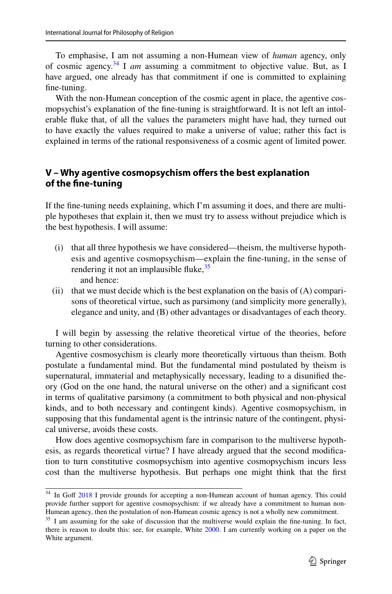To emphasise, I am not assuming a non-Humean view of *human* agency, only of cosmic agency.[34](#page-19-0) I *am* assuming a commitment to objective value. But, as I have argued, one already has that commitment if one is committed to explaining fne-tuning.

With the non-Humean conception of the cosmic agent in place, the agentive cosmopsychist's explanation of the fne-tuning is straightforward. It is not left an intolerable fuke that, of all the values the parameters might have had, they turned out to have exactly the values required to make a universe of value; rather this fact is explained in terms of the rational responsiveness of a cosmic agent of limited power.

## **V – Why agentive cosmopsychism ofers the best explanation of the fne‑tuning**

If the fne-tuning needs explaining, which I'm assuming it does, and there are multiple hypotheses that explain it, then we must try to assess without prejudice which is the best hypothesis. I will assume:

- (i) that all three hypothesis we have considered—theism, the multiverse hypothesis and agentive cosmopsychism—explain the fne-tuning, in the sense of rendering it not an implausible fluke,  $35$ and hence:
- (ii) that we must decide which is the best explanation on the basis of  $(A)$  comparisons of theoretical virtue, such as parsimony (and simplicity more generally), elegance and unity, and (B) other advantages or disadvantages of each theory.

I will begin by assessing the relative theoretical virtue of the theories, before turning to other considerations.

Agentive cosmosychism is clearly more theoretically virtuous than theism. Both postulate a fundamental mind. But the fundamental mind postulated by theism is supernatural, immaterial and metaphysically necessary, leading to a disunifed theory (God on the one hand, the natural universe on the other) and a signifcant cost in terms of qualitative parsimony (a commitment to both physical and non-physical kinds, and to both necessary and contingent kinds). Agentive cosmopsychism, in supposing that this fundamental agent is the intrinsic nature of the contingent, physical universe, avoids these costs.

How does agentive cosmopsychism fare in comparison to the multiverse hypothesis, as regards theoretical virtue? I have already argued that the second modifcation to turn constitutive cosmopsychism into agentive cosmopsychism incurs less cost than the multiverse hypothesis. But perhaps one might think that the frst

<span id="page-19-0"></span><sup>&</sup>lt;sup>34</sup> In Goff [2018](#page-23-24) I provide grounds for accepting a non-Humean account of human agency. This could provide further support for agentive cosmopsychism: if we already have a commitment to human non-Humean agency, then the postulation of non-Humean cosmic agency is not a wholly new commitment.

<span id="page-19-1"></span><sup>&</sup>lt;sup>35</sup> I am assuming for the sake of discussion that the multiverse would explain the fine-tuning. In fact, there is reason to doubt this: see, for example, White [2000.](#page-24-36) I am currently working on a paper on the White argument.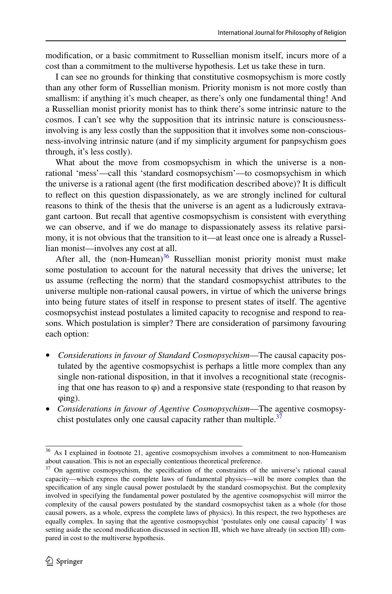modifcation, or a basic commitment to Russellian monism itself, incurs more of a cost than a commitment to the multiverse hypothesis. Let us take these in turn.

I can see no grounds for thinking that constitutive cosmopsychism is more costly than any other form of Russellian monism. Priority monism is not more costly than smallism: if anything it's much cheaper, as there's only one fundamental thing! And a Russellian monist priority monist has to think there's some intrinsic nature to the cosmos. I can't see why the supposition that its intrinsic nature is consciousnessinvolving is any less costly than the supposition that it involves some non-consciousness-involving intrinsic nature (and if my simplicity argument for panpsychism goes through, it's less costly).

What about the move from cosmopsychism in which the universe is a nonrational 'mess'—call this 'standard cosmopsychism'—to cosmopsychism in which the universe is a rational agent (the frst modifcation described above)? It is difcult to refect on this question dispassionately, as we are strongly inclined for cultural reasons to think of the thesis that the universe is an agent as a ludicrously extravagant cartoon. But recall that agentive cosmopsychism is consistent with everything we can observe, and if we do manage to dispassionately assess its relative parsimony, it is not obvious that the transition to it—at least once one is already a Russellian monist—involves any cost at all.

After all, the  $(non-Humean)^{36}$  Russellian monist priority monist must make some postulation to account for the natural necessity that drives the universe; let us assume (refecting the norm) that the standard cosmopsychist attributes to the universe multiple non-rational causal powers, in virtue of which the universe brings into being future states of itself in response to present states of itself. The agentive cosmopsychist instead postulates a limited capacity to recognise and respond to reasons. Which postulation is simpler? There are consideration of parsimony favouring each option:

- *Considerations in favour of Standard Cosmopsychism*—The causal capacity postulated by the agentive cosmopsychist is perhaps a little more complex than any single non-rational disposition, in that it involves a recognitional state (recognising that one has reason to  $\varphi$ ) and a responsive state (responding to that reason by φing).
- *Considerations in favour of Agentive Cosmopsychism*—The agentive cosmopsy-chist postulates only one causal capacity rather than multiple.<sup>[37](#page-20-1)</sup>

<span id="page-20-0"></span><sup>&</sup>lt;sup>36</sup> As I explained in footnote 21, agentive cosmopsychism involves a commitment to non-Humeanism about causation. This is not an especially contentious theoretical preference.

<span id="page-20-1"></span><sup>&</sup>lt;sup>37</sup> On agentive cosmopsychism, the specification of the constraints of the universe's rational causal capacity—which express the complete laws of fundamental physics—will be more complex than the specifcation of any single causal power postulaedt by the standard cosmopsychist. But the complexity involved in specifying the fundamental power postulated by the agentive cosmopsychist will mirror the complexity of the causal powers postulated by the standard cosmopsychist taken as a whole (for those causal powers, as a whole, express the complete laws of physics). In this respect, the two hypotheses are equally complex. In saying that the agentive cosmopsychist 'postulates only one causal capacity' I was setting aside the second modifcation discussed in section III, which we have already (in section III) compared in cost to the multiverse hypothesis.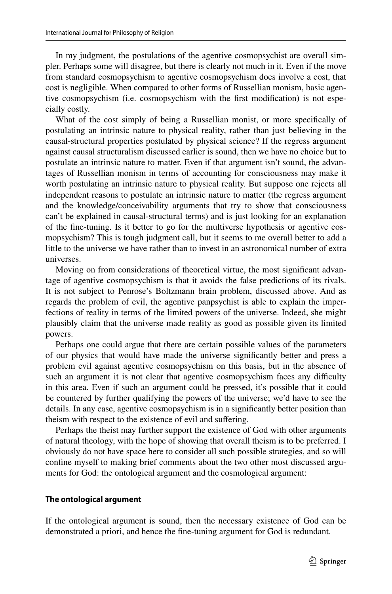In my judgment, the postulations of the agentive cosmopsychist are overall simpler. Perhaps some will disagree, but there is clearly not much in it. Even if the move from standard cosmopsychism to agentive cosmopsychism does involve a cost, that cost is negligible. When compared to other forms of Russellian monism, basic agentive cosmopsychism (i.e. cosmopsychism with the frst modifcation) is not especially costly.

What of the cost simply of being a Russellian monist, or more specifcally of postulating an intrinsic nature to physical reality, rather than just believing in the causal-structural properties postulated by physical science? If the regress argument against causal structuralism discussed earlier is sound, then we have no choice but to postulate an intrinsic nature to matter. Even if that argument isn't sound, the advantages of Russellian monism in terms of accounting for consciousness may make it worth postulating an intrinsic nature to physical reality. But suppose one rejects all independent reasons to postulate an intrinsic nature to matter (the regress argument and the knowledge/conceivability arguments that try to show that consciousness can't be explained in causal-structural terms) and is just looking for an explanation of the fne-tuning. Is it better to go for the multiverse hypothesis or agentive cosmopsychism? This is tough judgment call, but it seems to me overall better to add a little to the universe we have rather than to invest in an astronomical number of extra universes.

Moving on from considerations of theoretical virtue, the most signifcant advantage of agentive cosmopsychism is that it avoids the false predictions of its rivals. It is not subject to Penrose's Boltzmann brain problem, discussed above. And as regards the problem of evil, the agentive panpsychist is able to explain the imperfections of reality in terms of the limited powers of the universe. Indeed, she might plausibly claim that the universe made reality as good as possible given its limited powers.

Perhaps one could argue that there are certain possible values of the parameters of our physics that would have made the universe signifcantly better and press a problem evil against agentive cosmopsychism on this basis, but in the absence of such an argument it is not clear that agentive cosmopsychism faces any difficulty in this area. Even if such an argument could be pressed, it's possible that it could be countered by further qualifying the powers of the universe; we'd have to see the details. In any case, agentive cosmopsychism is in a signifcantly better position than theism with respect to the existence of evil and sufering.

Perhaps the theist may further support the existence of God with other arguments of natural theology, with the hope of showing that overall theism is to be preferred. I obviously do not have space here to consider all such possible strategies, and so will confne myself to making brief comments about the two other most discussed arguments for God: the ontological argument and the cosmological argument:

### **The ontological argument**

If the ontological argument is sound, then the necessary existence of God can be demonstrated a priori, and hence the fne-tuning argument for God is redundant.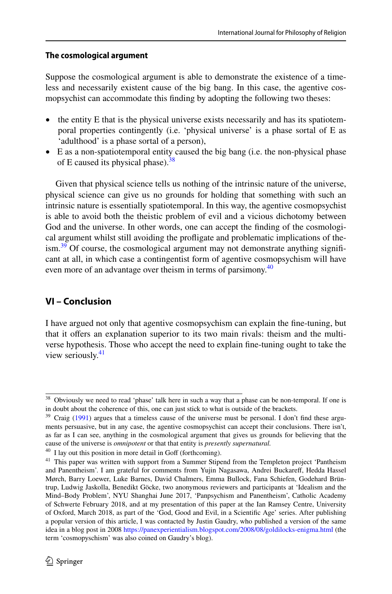## **The cosmological argument**

Suppose the cosmological argument is able to demonstrate the existence of a timeless and necessarily existent cause of the big bang. In this case, the agentive cosmopsychist can accommodate this fnding by adopting the following two theses:

- the entity E that is the physical universe exists necessarily and has its spatiotemporal properties contingently (i.e. 'physical universe' is a phase sortal of E as 'adulthood' is a phase sortal of a person),
- E as a non-spatiotemporal entity caused the big bang (i.e. the non-physical phase of E caused its physical phase). $38$

Given that physical science tells us nothing of the intrinsic nature of the universe, physical science can give us no grounds for holding that something with such an intrinsic nature is essentially spatiotemporal. In this way, the agentive cosmopsychist is able to avoid both the theistic problem of evil and a vicious dichotomy between God and the universe. In other words, one can accept the fnding of the cosmological argument whilst still avoiding the profigate and problematic implications of the- $\lim_{n \to \infty} 39$  Of course, the cosmological argument may not demonstrate anything significant at all, in which case a contingentist form of agentive cosmopsychism will have even more of an advantage over theism in terms of parsimony.<sup>[40](#page-22-2)</sup>

## **VI – Conclusion**

I have argued not only that agentive cosmopsychism can explain the fne-tuning, but that it ofers an explanation superior to its two main rivals: theism and the multiverse hypothesis. Those who accept the need to explain fne-tuning ought to take the view seriously.<sup>[41](#page-22-3)</sup>

<span id="page-22-0"></span><sup>&</sup>lt;sup>38</sup> Obviously we need to read 'phase' talk here in such a way that a phase can be non-temporal. If one is in doubt about the coherence of this, one can just stick to what is outside of the brackets.

<span id="page-22-1"></span> $39$  Craig ([1991\)](#page-23-25) argues that a timeless cause of the universe must be personal. I don't find these arguments persuasive, but in any case, the agentive cosmopsychist can accept their conclusions. There isn't, as far as I can see, anything in the cosmological argument that gives us grounds for believing that the cause of the universe is *omnipotent* or that that entity is *presently supernatural.*

<span id="page-22-2"></span> $40$  I lay out this position in more detail in Goff (forthcoming).

<span id="page-22-3"></span><sup>&</sup>lt;sup>41</sup> This paper was written with support from a Summer Stipend from the Templeton project 'Pantheism and Panentheism'. I am grateful for comments from Yujin Nagasawa, Andrei Buckareff, Hedda Hassel Mørch, Barry Loewer, Luke Barnes, David Chalmers, Emma Bullock, Fana Schiefen, Godehard Brüntrup, Ludwig Jaskolla, Benedikt Göcke, two anonymous reviewers and participants at 'Idealism and the Mind–Body Problem', NYU Shanghai June 2017, 'Panpsychism and Panentheism', Catholic Academy of Schwerte February 2018, and at my presentation of this paper at the Ian Ramsey Centre, University of Oxford, March 2018, as part of the 'God, Good and Evil, in a Scientifc Age' series. After publishing a popular version of this article, I was contacted by Justin Gaudry, who published a version of the same idea in a blog post in 2008 <https://panexperientialism.blogspot.com/2008/08/goldilocks-enigma.html>(the term 'cosmopyschism' was also coined on Gaudry's blog).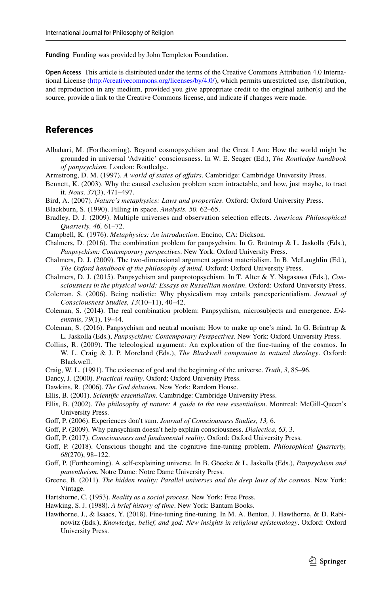**Funding** Funding was provided by John Templeton Foundation.

**Open Access** This article is distributed under the terms of the Creative Commons Attribution 4.0 International License ([http://creativecommons.org/licenses/by/4.0/\)](http://creativecommons.org/licenses/by/4.0/), which permits unrestricted use, distribution, and reproduction in any medium, provided you give appropriate credit to the original author(s) and the source, provide a link to the Creative Commons license, and indicate if changes were made.

### **References**

- Albahari, M. (Forthcoming). Beyond cosmopsychism and the Great I Am: How the world might be grounded in universal 'Advaitic' consciousness. In W. E. Seager (Ed.), *The Routledge handbook of panpsychism*. London: Routledge.
- <span id="page-23-5"></span>Armstrong, D. M. (1997). *A world of states of afairs*. Cambridge: Cambridge University Press.
- <span id="page-23-9"></span>Bennett, K. (2003). Why the causal exclusion problem seem intractable, and how, just maybe, to tract it. *Nous, 37*(3), 471–497.
- <span id="page-23-0"></span>Bird, A. (2007). *Nature's metaphysics: Laws and properties*. Oxford: Oxford University Press.
- <span id="page-23-4"></span>Blackburn, S. (1990). Filling in space. *Analysis, 50,* 62–65.
- <span id="page-23-20"></span>Bradley, D. J. (2009). Multiple universes and observation selection efects. *American Philosophical Quarterly, 46,* 61–72.
- <span id="page-23-3"></span>Campbell, K. (1976). *Metaphysics: An introduction*. Encino, CA: Dickson.
- <span id="page-23-14"></span>Chalmers, D. (2016). The combination problem for panpsychsim. In G. Brüntrup & L. Jaskolla (Eds.), *Panpsychism: Contemporary perspectives*. New York: Oxford University Press.
- <span id="page-23-7"></span>Chalmers, D. J. (2009). The two-dimensional argument against materialism. In B. McLaughlin (Ed.), *The Oxford handbook of the philosophy of mind*. Oxford: Oxford University Press.
- <span id="page-23-8"></span>Chalmers, D. J. (2015). Panpsychism and panprotopsychism. In T. Alter & Y. Nagasawa (Eds.), *Consciousness in the physical world: Essays on Russellian monism*. Oxford: Oxford University Press.
- <span id="page-23-15"></span>Coleman, S. (2006). Being realistic: Why physicalism may entails panexperientialism. *Journal of Consciousness Studies, 13*(10–11), 40–42.
- <span id="page-23-13"></span>Coleman, S. (2014). The real combination problem: Panpsychism, microsubjects and emergence. *Erkenntnis*, *79*(1), 19–44.
- <span id="page-23-10"></span>Coleman, S. (2016). Panpsychism and neutral monism: How to make up one's mind. In G. Brüntrup  $\&$ L. Jaskolla (Eds.), *Panpsychism: Contemporary Perspectives*. New York: Oxford University Press.
- <span id="page-23-16"></span>Collins, R. (2009). The teleological argument: An exploration of the fne-tuning of the cosmos. In W. L. Craig & J. P. Moreland (Eds.), *The Blackwell companion to natural theology*. Oxford: Blackwell.
- <span id="page-23-25"></span>Craig, W. L. (1991). The existence of god and the beginning of the universe. *Truth*, *3*, 85–96.
- <span id="page-23-22"></span>Dancy, J. (2000). *Practical reality*. Oxford: Oxford University Press.
- <span id="page-23-23"></span>Dawkins, R. (2006). *The God delusion*. New York: Random House.
- <span id="page-23-1"></span>Ellis, B. (2001). *Scientifc essentialism*. Cambridge: Cambridge University Press.
- <span id="page-23-2"></span>Ellis, B. (2002). *The philosophy of nature: A guide to the new essentialism*. Montreal: McGill-Queen's University Press.
- <span id="page-23-11"></span>Gof, P. (2006). Experiences don't sum. *Journal of Consciousness Studies, 13,* 6.
- <span id="page-23-12"></span>Gof, P. (2009). Why pansychism doesn't help explain consciousness. *Dialectica, 63,* 3.
- <span id="page-23-6"></span>Gof, P. (2017). *Consciousness and fundamental reality*. Oxford: Oxford University Press.
- <span id="page-23-24"></span>Gof, P. (2018). Conscious thought and the cognitive fne-tuning problem. *Philosophical Quarterly, 68*(270), 98–122.
- Gof, P. (Forthcoming). A self-explaining universe. In B. Göecke & L. Jaskolla (Eds.), *Panpsychism and panentheism*. Notre Dame: Notre Dame University Press.
- <span id="page-23-19"></span>Greene, B. (2011). *The hidden reality: Parallel universes and the deep laws of the cosmos*. New York: Vintage.
- <span id="page-23-18"></span>Hartshorne, C. (1953). *Reality as a social process*. New York: Free Press.
- <span id="page-23-21"></span>Hawking, S. J. (1988). *A brief history of time*. New York: Bantam Books.
- <span id="page-23-17"></span>Hawthorne, J., & Isaacs, Y. (2018). Fine-tuning fne-tuning. In M. A. Benton, J. Hawthorne, & D. Rabinowitz (Eds.), *Knowledge, belief, and god: New insights in religious epistemology*. Oxford: Oxford University Press.